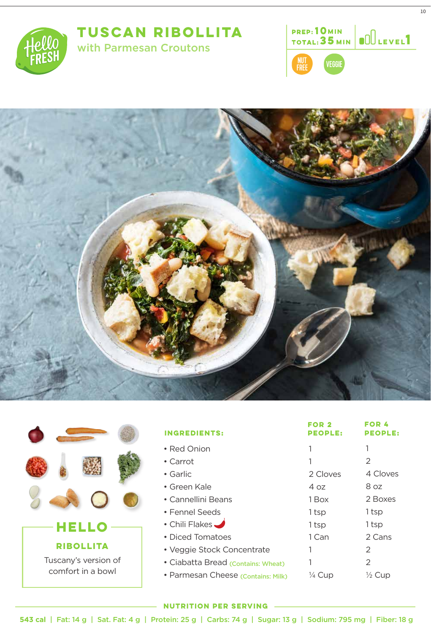## **TUSCAN RIBOLLITA**









| <b>HELLO</b>                              |  |  |  |
|-------------------------------------------|--|--|--|
| <b>RIBOLLITA</b>                          |  |  |  |
| Tuscany's version of<br>comfort in a bowl |  |  |  |

| <b>INGREDIENTS:</b>                | FOR <sub>2</sub><br><b>PEOPLE:</b> | <b>FOR 4</b><br><b>PEOPLE:</b> |
|------------------------------------|------------------------------------|--------------------------------|
| • Red Onion                        |                                    | 1                              |
| • Carrot                           |                                    | 2                              |
| • Garlic                           | 2 Cloves                           | 4 Cloves                       |
| • Green Kale                       | 4 oz                               | 8 oz                           |
| $\bullet$ Cannellini Beans         | 1 Box                              | 2 Boxes                        |
| • Fennel Seeds                     | 1 tsp                              | 1 tsp                          |
| • Chili Flakes                     | 1 tsp                              | 1 tsp                          |
| • Diced Tomatoes                   | 1 Can                              | 2 Cans                         |
| • Veggie Stock Concentrate         |                                    | 2                              |
| • Ciabatta Bread (Contains: Wheat) |                                    | 2                              |
| · Parmesan Cheese (Contains: Milk) | $\frac{1}{4}$ Cup                  | $\frac{1}{2}$ Cup              |

## **NUTRITION PER SERVING**